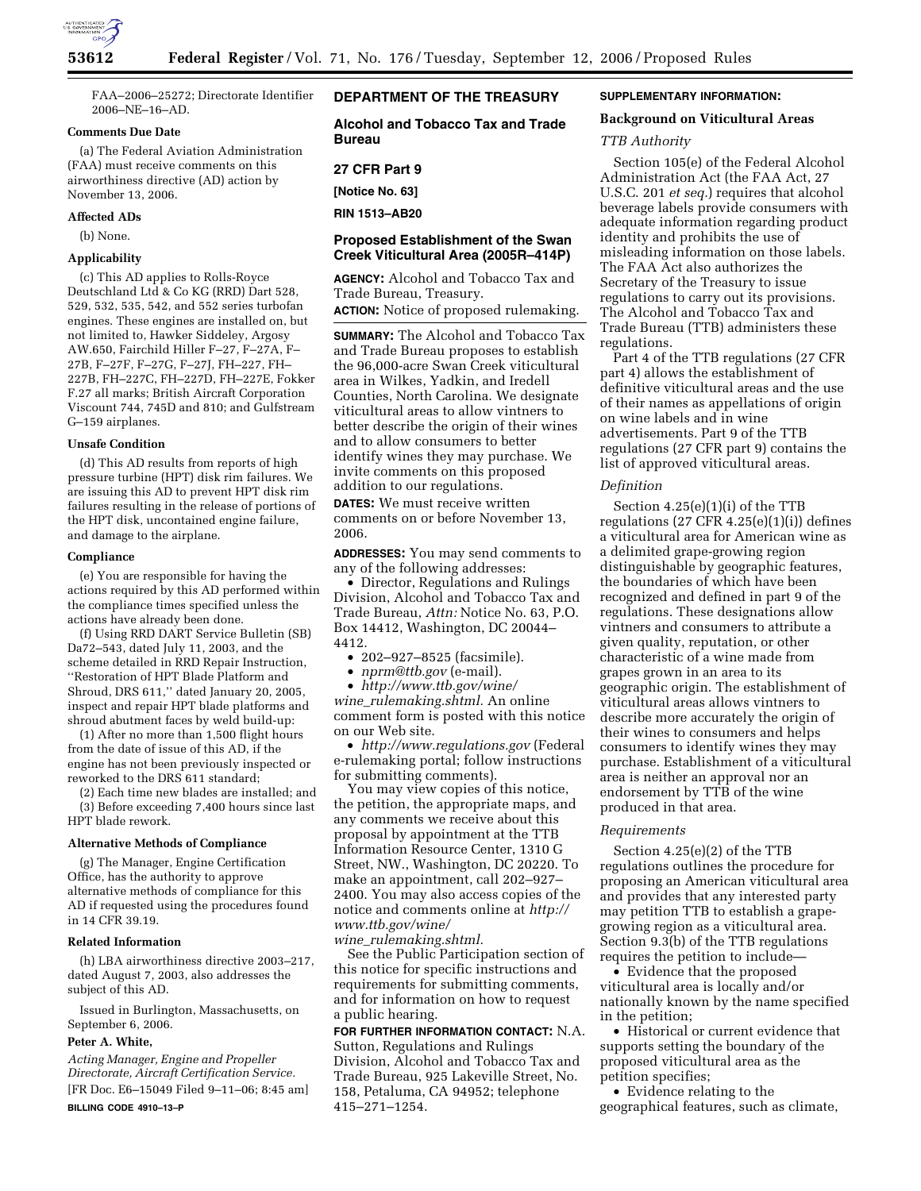

FAA–2006–25272; Directorate Identifier 2006–NE–16–AD.

## **Comments Due Date**

(a) The Federal Aviation Administration (FAA) must receive comments on this airworthiness directive (AD) action by November 13, 2006.

#### **Affected ADs**

(b) None.

# **Applicability**

(c) This AD applies to Rolls-Royce Deutschland Ltd & Co KG (RRD) Dart 528, 529, 532, 535, 542, and 552 series turbofan engines. These engines are installed on, but not limited to, Hawker Siddeley, Argosy AW.650, Fairchild Hiller F–27, F–27A, F– 27B, F–27F, F–27G, F–27J, FH–227, FH– 227B, FH–227C, FH–227D, FH–227E, Fokker F.27 all marks; British Aircraft Corporation Viscount 744, 745D and 810; and Gulfstream G–159 airplanes.

#### **Unsafe Condition**

(d) This AD results from reports of high pressure turbine (HPT) disk rim failures. We are issuing this AD to prevent HPT disk rim failures resulting in the release of portions of the HPT disk, uncontained engine failure, and damage to the airplane.

#### **Compliance**

(e) You are responsible for having the actions required by this AD performed within the compliance times specified unless the actions have already been done.

(f) Using RRD DART Service Bulletin (SB) Da72–543, dated July 11, 2003, and the scheme detailed in RRD Repair Instruction, ''Restoration of HPT Blade Platform and Shroud, DRS 611,'' dated January 20, 2005, inspect and repair HPT blade platforms and shroud abutment faces by weld build-up:

(1) After no more than 1,500 flight hours from the date of issue of this AD, if the engine has not been previously inspected or reworked to the DRS 611 standard;

(2) Each time new blades are installed; and (3) Before exceeding 7,400 hours since last HPT blade rework.

#### **Alternative Methods of Compliance**

(g) The Manager, Engine Certification Office, has the authority to approve alternative methods of compliance for this AD if requested using the procedures found in 14 CFR 39.19.

# **Related Information**

(h) LBA airworthiness directive 2003–217, dated August 7, 2003, also addresses the subject of this AD.

Issued in Burlington, Massachusetts, on September 6, 2006.

# **Peter A. White,**

*Acting Manager, Engine and Propeller Directorate, Aircraft Certification Service.*  [FR Doc. E6–15049 Filed 9–11–06; 8:45 am] **BILLING CODE 4910–13–P** 

# **DEPARTMENT OF THE TREASURY**

**Alcohol and Tobacco Tax and Trade Bureau** 

# **27 CFR Part 9**

**[Notice No. 63]** 

**RIN 1513–AB20** 

# **Proposed Establishment of the Swan Creek Viticultural Area (2005R–414P)**

**AGENCY:** Alcohol and Tobacco Tax and Trade Bureau, Treasury.

**ACTION:** Notice of proposed rulemaking.

**SUMMARY:** The Alcohol and Tobacco Tax and Trade Bureau proposes to establish the 96,000-acre Swan Creek viticultural area in Wilkes, Yadkin, and Iredell Counties, North Carolina. We designate viticultural areas to allow vintners to better describe the origin of their wines and to allow consumers to better identify wines they may purchase. We invite comments on this proposed addition to our regulations.

**DATES:** We must receive written comments on or before November 13, 2006.

**ADDRESSES:** You may send comments to any of the following addresses:

• Director, Regulations and Rulings Division, Alcohol and Tobacco Tax and Trade Bureau, *Attn:* Notice No. 63, P.O. Box 14412, Washington, DC 20044– 4412.

- 202–927–8525 (facsimile).
- *nprm@ttb.gov* (e-mail).

• *http://www.ttb.gov/wine/* 

*wine*\_*rulemaking.shtml.* An online comment form is posted with this notice on our Web site.

• *http://www.regulations.gov* (Federal e-rulemaking portal; follow instructions for submitting comments).

You may view copies of this notice, the petition, the appropriate maps, and any comments we receive about this proposal by appointment at the TTB Information Resource Center, 1310 G Street, NW., Washington, DC 20220. To make an appointment, call 202–927– 2400. You may also access copies of the notice and comments online at *http:// www.ttb.gov/wine/ wine*\_*rulemaking.shtml.* 

See the Public Participation section of this notice for specific instructions and requirements for submitting comments, and for information on how to request a public hearing.

**FOR FURTHER INFORMATION CONTACT:** N.A. Sutton, Regulations and Rulings Division, Alcohol and Tobacco Tax and Trade Bureau, 925 Lakeville Street, No. 158, Petaluma, CA 94952; telephone 415–271–1254.

# **SUPPLEMENTARY INFORMATION:**

# **Background on Viticultural Areas**

# *TTB Authority*

Section 105(e) of the Federal Alcohol Administration Act (the FAA Act, 27 U.S.C. 201 *et seq.*) requires that alcohol beverage labels provide consumers with adequate information regarding product identity and prohibits the use of misleading information on those labels. The FAA Act also authorizes the Secretary of the Treasury to issue regulations to carry out its provisions. The Alcohol and Tobacco Tax and Trade Bureau (TTB) administers these regulations.

Part 4 of the TTB regulations (27 CFR part 4) allows the establishment of definitive viticultural areas and the use of their names as appellations of origin on wine labels and in wine advertisements. Part 9 of the TTB regulations (27 CFR part 9) contains the list of approved viticultural areas.

# *Definition*

Section 4.25(e)(1)(i) of the TTB regulations  $(27 \text{ CFR } 4.25(e)(1)(i))$  defines a viticultural area for American wine as a delimited grape-growing region distinguishable by geographic features, the boundaries of which have been recognized and defined in part 9 of the regulations. These designations allow vintners and consumers to attribute a given quality, reputation, or other characteristic of a wine made from grapes grown in an area to its geographic origin. The establishment of viticultural areas allows vintners to describe more accurately the origin of their wines to consumers and helps consumers to identify wines they may purchase. Establishment of a viticultural area is neither an approval nor an endorsement by TTB of the wine produced in that area.

# *Requirements*

Section 4.25(e)(2) of the TTB regulations outlines the procedure for proposing an American viticultural area and provides that any interested party may petition TTB to establish a grapegrowing region as a viticultural area. Section 9.3(b) of the TTB regulations requires the petition to include—

• Evidence that the proposed viticultural area is locally and/or nationally known by the name specified in the petition;

• Historical or current evidence that supports setting the boundary of the proposed viticultural area as the petition specifies;

• Evidence relating to the geographical features, such as climate,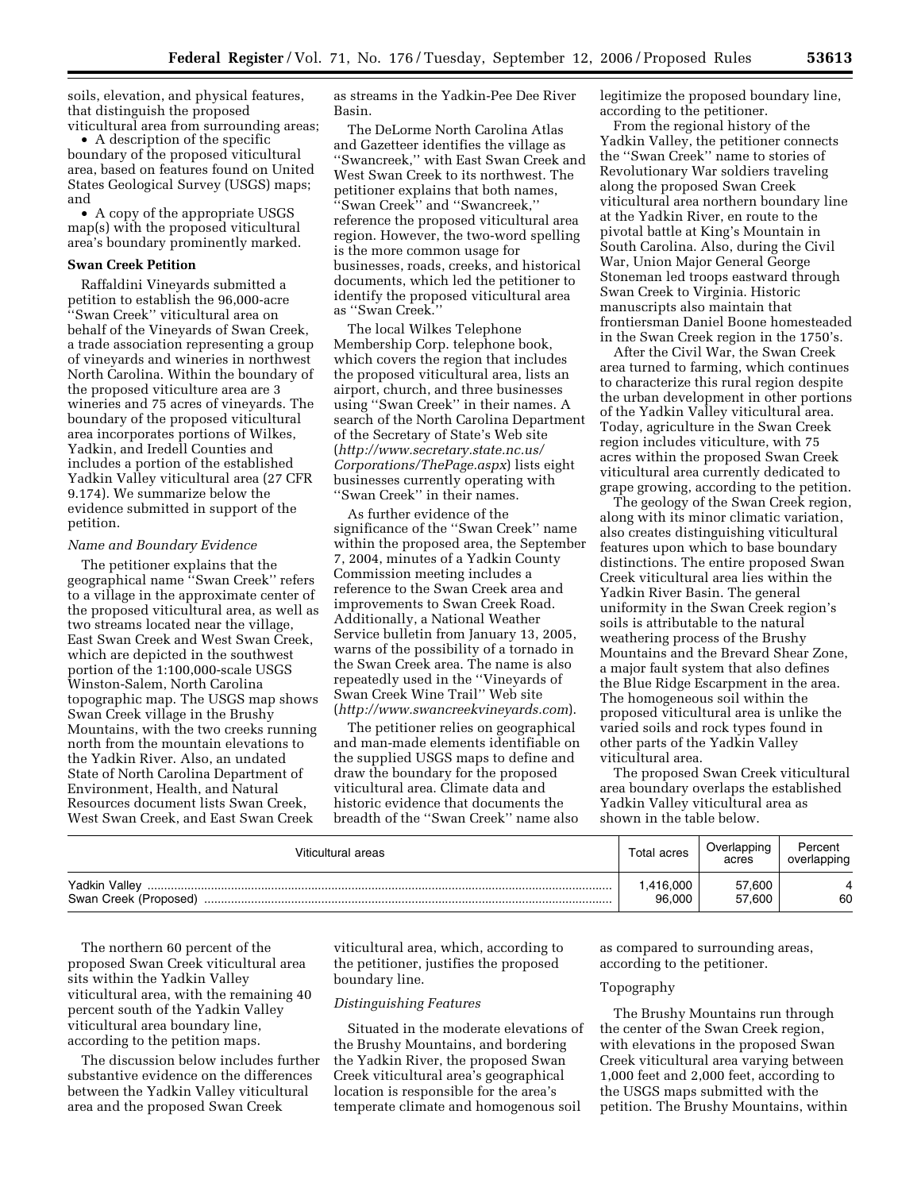soils, elevation, and physical features, that distinguish the proposed viticultural area from surrounding areas;

• A description of the specific boundary of the proposed viticultural area, based on features found on United States Geological Survey (USGS) maps; and

• A copy of the appropriate USGS map(s) with the proposed viticultural area's boundary prominently marked.

#### **Swan Creek Petition**

Raffaldini Vineyards submitted a petition to establish the 96,000-acre ''Swan Creek'' viticultural area on behalf of the Vineyards of Swan Creek, a trade association representing a group of vineyards and wineries in northwest North Carolina. Within the boundary of the proposed viticulture area are 3 wineries and 75 acres of vineyards. The boundary of the proposed viticultural area incorporates portions of Wilkes, Yadkin, and Iredell Counties and includes a portion of the established Yadkin Valley viticultural area (27 CFR 9.174). We summarize below the evidence submitted in support of the petition.

#### *Name and Boundary Evidence*

The petitioner explains that the geographical name ''Swan Creek'' refers to a village in the approximate center of the proposed viticultural area, as well as two streams located near the village, East Swan Creek and West Swan Creek, which are depicted in the southwest portion of the 1:100,000-scale USGS Winston-Salem, North Carolina topographic map. The USGS map shows Swan Creek village in the Brushy Mountains, with the two creeks running north from the mountain elevations to the Yadkin River. Also, an undated State of North Carolina Department of Environment, Health, and Natural Resources document lists Swan Creek, West Swan Creek, and East Swan Creek

as streams in the Yadkin-Pee Dee River Basin.

The DeLorme North Carolina Atlas and Gazetteer identifies the village as ''Swancreek,'' with East Swan Creek and West Swan Creek to its northwest. The petitioner explains that both names, ''Swan Creek'' and ''Swancreek,'' reference the proposed viticultural area region. However, the two-word spelling is the more common usage for businesses, roads, creeks, and historical documents, which led the petitioner to identify the proposed viticultural area as ''Swan Creek.''

The local Wilkes Telephone Membership Corp. telephone book, which covers the region that includes the proposed viticultural area, lists an airport, church, and three businesses using ''Swan Creek'' in their names. A search of the North Carolina Department of the Secretary of State's Web site (*http://www.secretary.state.nc.us/ Corporations/ThePage.aspx*) lists eight businesses currently operating with ''Swan Creek'' in their names.

As further evidence of the significance of the ''Swan Creek'' name within the proposed area, the September 7, 2004, minutes of a Yadkin County Commission meeting includes a reference to the Swan Creek area and improvements to Swan Creek Road. Additionally, a National Weather Service bulletin from January 13, 2005, warns of the possibility of a tornado in the Swan Creek area. The name is also repeatedly used in the ''Vineyards of Swan Creek Wine Trail'' Web site (*http://www.swancreekvineyards.com*).

The petitioner relies on geographical and man-made elements identifiable on the supplied USGS maps to define and draw the boundary for the proposed viticultural area. Climate data and historic evidence that documents the breadth of the ''Swan Creek'' name also

legitimize the proposed boundary line, according to the petitioner.

From the regional history of the Yadkin Valley, the petitioner connects the ''Swan Creek'' name to stories of Revolutionary War soldiers traveling along the proposed Swan Creek viticultural area northern boundary line at the Yadkin River, en route to the pivotal battle at King's Mountain in South Carolina. Also, during the Civil War, Union Major General George Stoneman led troops eastward through Swan Creek to Virginia. Historic manuscripts also maintain that frontiersman Daniel Boone homesteaded in the Swan Creek region in the 1750's.

After the Civil War, the Swan Creek area turned to farming, which continues to characterize this rural region despite the urban development in other portions of the Yadkin Valley viticultural area. Today, agriculture in the Swan Creek region includes viticulture, with 75 acres within the proposed Swan Creek viticultural area currently dedicated to grape growing, according to the petition.

The geology of the Swan Creek region, along with its minor climatic variation, also creates distinguishing viticultural features upon which to base boundary distinctions. The entire proposed Swan Creek viticultural area lies within the Yadkin River Basin. The general uniformity in the Swan Creek region's soils is attributable to the natural weathering process of the Brushy Mountains and the Brevard Shear Zone, a major fault system that also defines the Blue Ridge Escarpment in the area. The homogeneous soil within the proposed viticultural area is unlike the varied soils and rock types found in other parts of the Yadkin Valley viticultural area.

The proposed Swan Creek viticultural area boundary overlaps the established Yadkin Valley viticultural area as shown in the table below.

| Viticultural areas                         | Total acres        | Overlapping<br>acres | Percent<br>overlapping |
|--------------------------------------------|--------------------|----------------------|------------------------|
| Yadkin Valley<br>Swan Creek (Proposed)<br> | .416.000<br>96,000 | 57,600<br>57.600     | 60                     |

The northern 60 percent of the proposed Swan Creek viticultural area sits within the Yadkin Valley viticultural area, with the remaining 40 percent south of the Yadkin Valley viticultural area boundary line, according to the petition maps.

The discussion below includes further substantive evidence on the differences between the Yadkin Valley viticultural area and the proposed Swan Creek

viticultural area, which, according to the petitioner, justifies the proposed boundary line.

#### *Distinguishing Features*

Situated in the moderate elevations of the Brushy Mountains, and bordering the Yadkin River, the proposed Swan Creek viticultural area's geographical location is responsible for the area's temperate climate and homogenous soil

as compared to surrounding areas, according to the petitioner.

#### Topography

The Brushy Mountains run through the center of the Swan Creek region, with elevations in the proposed Swan Creek viticultural area varying between 1,000 feet and 2,000 feet, according to the USGS maps submitted with the petition. The Brushy Mountains, within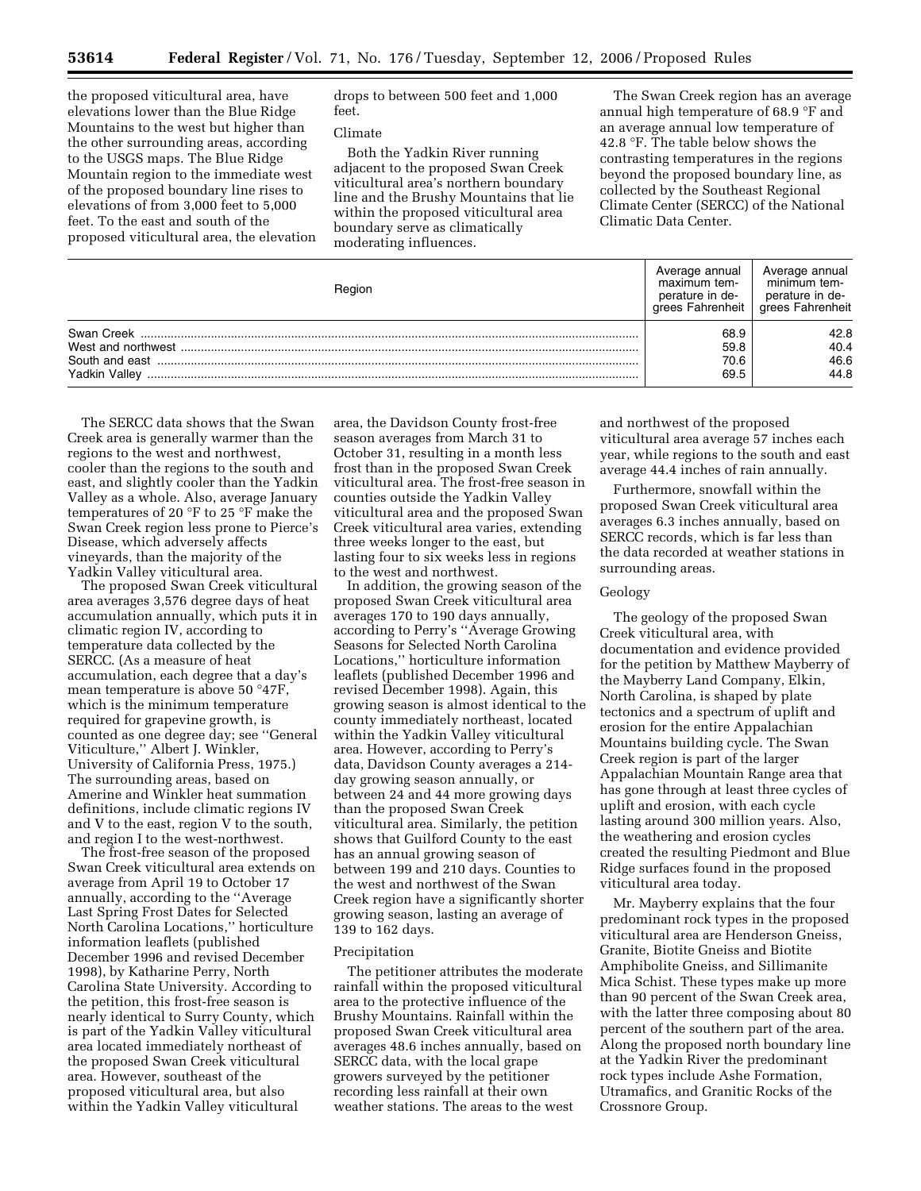the proposed viticultural area, have elevations lower than the Blue Ridge Mountains to the west but higher than the other surrounding areas, according to the USGS maps. The Blue Ridge Mountain region to the immediate west of the proposed boundary line rises to elevations of from 3,000 feet to 5,000 feet. To the east and south of the proposed viticultural area, the elevation drops to between 500 feet and 1,000 feet.

# Climate

Both the Yadkin River running adjacent to the proposed Swan Creek viticultural area's northern boundary line and the Brushy Mountains that lie within the proposed viticultural area boundary serve as climatically moderating influences.

The Swan Creek region has an average annual high temperature of 68.9 °F and an average annual low temperature of 42.8 °F. The table below shows the contrasting temperatures in the regions beyond the proposed boundary line, as collected by the Southeast Regional Climate Center (SERCC) of the National Climatic Data Center.

| Region        | Average annual<br>maximum tem-<br>perature in de-<br>grees Fahrenheit | Average annual<br>minimum tem-<br>perature in de-<br>grees Fahrenheit |
|---------------|-----------------------------------------------------------------------|-----------------------------------------------------------------------|
|               | 68.9                                                                  | 42.8                                                                  |
|               | 59.8                                                                  | 40.4                                                                  |
|               | 70.6                                                                  | 46.6                                                                  |
| Yadkin Valley | 69.5                                                                  | 44.8                                                                  |

The SERCC data shows that the Swan Creek area is generally warmer than the regions to the west and northwest, cooler than the regions to the south and east, and slightly cooler than the Yadkin Valley as a whole. Also, average January temperatures of 20 °F to 25 °F make the Swan Creek region less prone to Pierce's Disease, which adversely affects vineyards, than the majority of the Yadkin Valley viticultural area.

The proposed Swan Creek viticultural area averages 3,576 degree days of heat accumulation annually, which puts it in climatic region IV, according to temperature data collected by the SERCC. (As a measure of heat accumulation, each degree that a day's mean temperature is above 50 °47F, which is the minimum temperature required for grapevine growth, is counted as one degree day; see ''General Viticulture,'' Albert J. Winkler, University of California Press, 1975.) The surrounding areas, based on Amerine and Winkler heat summation definitions, include climatic regions IV and V to the east, region V to the south, and region I to the west-northwest.

The frost-free season of the proposed Swan Creek viticultural area extends on average from April 19 to October 17 annually, according to the ''Average Last Spring Frost Dates for Selected North Carolina Locations,'' horticulture information leaflets (published December 1996 and revised December 1998), by Katharine Perry, North Carolina State University. According to the petition, this frost-free season is nearly identical to Surry County, which is part of the Yadkin Valley viticultural area located immediately northeast of the proposed Swan Creek viticultural area. However, southeast of the proposed viticultural area, but also within the Yadkin Valley viticultural

area, the Davidson County frost-free season averages from March 31 to October 31, resulting in a month less frost than in the proposed Swan Creek viticultural area. The frost-free season in counties outside the Yadkin Valley viticultural area and the proposed Swan Creek viticultural area varies, extending three weeks longer to the east, but lasting four to six weeks less in regions to the west and northwest.

In addition, the growing season of the proposed Swan Creek viticultural area averages 170 to 190 days annually, according to Perry's ''Average Growing Seasons for Selected North Carolina Locations,'' horticulture information leaflets (published December 1996 and revised December 1998). Again, this growing season is almost identical to the county immediately northeast, located within the Yadkin Valley viticultural area. However, according to Perry's data, Davidson County averages a 214 day growing season annually, or between 24 and 44 more growing days than the proposed Swan Creek viticultural area. Similarly, the petition shows that Guilford County to the east has an annual growing season of between 199 and 210 days. Counties to the west and northwest of the Swan Creek region have a significantly shorter growing season, lasting an average of 139 to 162 days.

#### Precipitation

The petitioner attributes the moderate rainfall within the proposed viticultural area to the protective influence of the Brushy Mountains. Rainfall within the proposed Swan Creek viticultural area averages 48.6 inches annually, based on SERCC data, with the local grape growers surveyed by the petitioner recording less rainfall at their own weather stations. The areas to the west

and northwest of the proposed viticultural area average 57 inches each year, while regions to the south and east average 44.4 inches of rain annually.

Furthermore, snowfall within the proposed Swan Creek viticultural area averages 6.3 inches annually, based on SERCC records, which is far less than the data recorded at weather stations in surrounding areas.

# Geology

The geology of the proposed Swan Creek viticultural area, with documentation and evidence provided for the petition by Matthew Mayberry of the Mayberry Land Company, Elkin, North Carolina, is shaped by plate tectonics and a spectrum of uplift and erosion for the entire Appalachian Mountains building cycle. The Swan Creek region is part of the larger Appalachian Mountain Range area that has gone through at least three cycles of uplift and erosion, with each cycle lasting around 300 million years. Also, the weathering and erosion cycles created the resulting Piedmont and Blue Ridge surfaces found in the proposed viticultural area today.

Mr. Mayberry explains that the four predominant rock types in the proposed viticultural area are Henderson Gneiss, Granite, Biotite Gneiss and Biotite Amphibolite Gneiss, and Sillimanite Mica Schist. These types make up more than 90 percent of the Swan Creek area, with the latter three composing about 80 percent of the southern part of the area. Along the proposed north boundary line at the Yadkin River the predominant rock types include Ashe Formation, Utramafics, and Granitic Rocks of the Crossnore Group.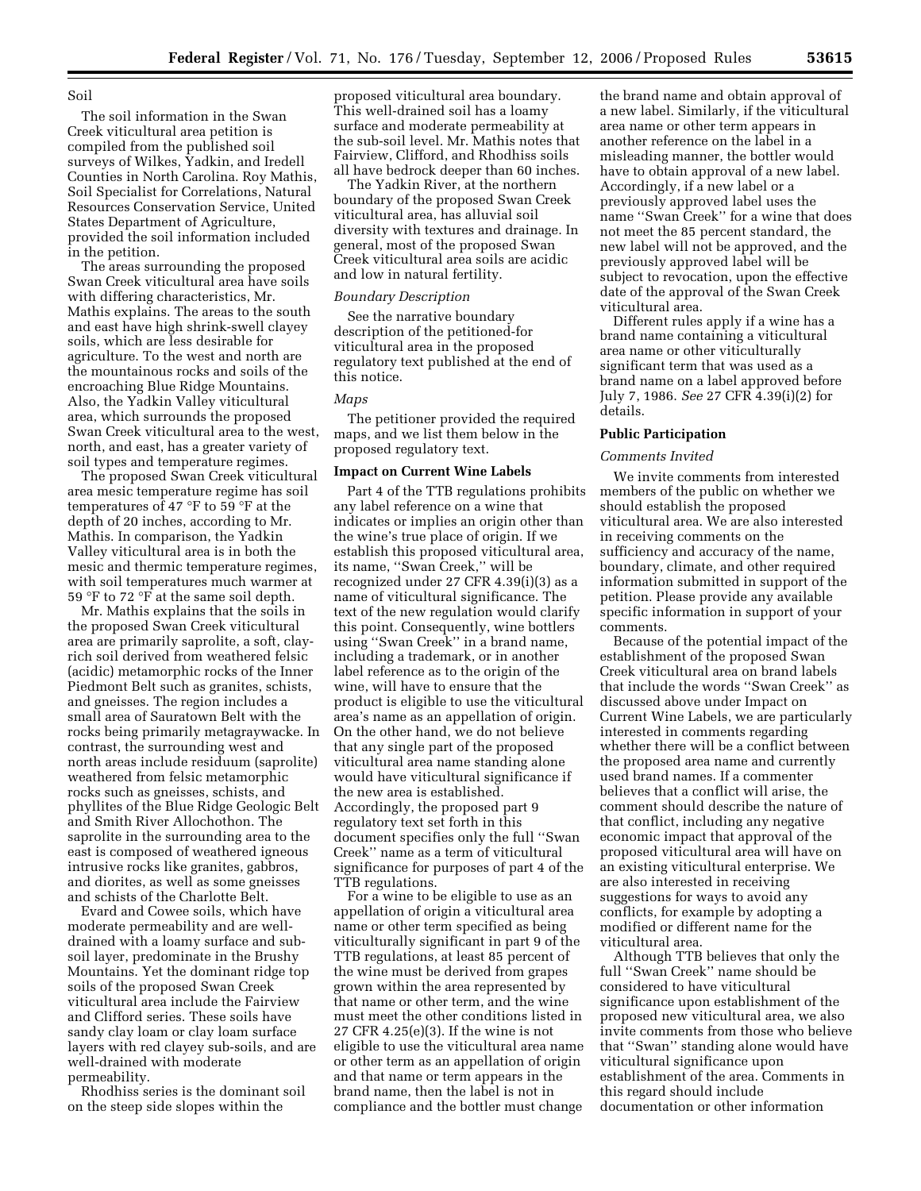Soil

The soil information in the Swan Creek viticultural area petition is compiled from the published soil surveys of Wilkes, Yadkin, and Iredell Counties in North Carolina. Roy Mathis, Soil Specialist for Correlations, Natural Resources Conservation Service, United States Department of Agriculture, provided the soil information included in the petition.

The areas surrounding the proposed Swan Creek viticultural area have soils with differing characteristics, Mr. Mathis explains. The areas to the south and east have high shrink-swell clayey soils, which are less desirable for agriculture. To the west and north are the mountainous rocks and soils of the encroaching Blue Ridge Mountains. Also, the Yadkin Valley viticultural area, which surrounds the proposed Swan Creek viticultural area to the west, north, and east, has a greater variety of soil types and temperature regimes.

The proposed Swan Creek viticultural area mesic temperature regime has soil temperatures of 47 °F to 59 °F at the depth of 20 inches, according to Mr. Mathis. In comparison, the Yadkin Valley viticultural area is in both the mesic and thermic temperature regimes, with soil temperatures much warmer at 59 °F to 72 °F at the same soil depth.

Mr. Mathis explains that the soils in the proposed Swan Creek viticultural area are primarily saprolite, a soft, clayrich soil derived from weathered felsic (acidic) metamorphic rocks of the Inner Piedmont Belt such as granites, schists, and gneisses. The region includes a small area of Sauratown Belt with the rocks being primarily metagraywacke. In contrast, the surrounding west and north areas include residuum (saprolite) weathered from felsic metamorphic rocks such as gneisses, schists, and phyllites of the Blue Ridge Geologic Belt and Smith River Allochothon. The saprolite in the surrounding area to the east is composed of weathered igneous intrusive rocks like granites, gabbros, and diorites, as well as some gneisses and schists of the Charlotte Belt.

Evard and Cowee soils, which have moderate permeability and are welldrained with a loamy surface and subsoil layer, predominate in the Brushy Mountains. Yet the dominant ridge top soils of the proposed Swan Creek viticultural area include the Fairview and Clifford series. These soils have sandy clay loam or clay loam surface layers with red clayey sub-soils, and are well-drained with moderate permeability.

Rhodhiss series is the dominant soil on the steep side slopes within the

proposed viticultural area boundary. This well-drained soil has a loamy surface and moderate permeability at the sub-soil level. Mr. Mathis notes that Fairview, Clifford, and Rhodhiss soils all have bedrock deeper than 60 inches.

The Yadkin River, at the northern boundary of the proposed Swan Creek viticultural area, has alluvial soil diversity with textures and drainage. In general, most of the proposed Swan Creek viticultural area soils are acidic and low in natural fertility.

## *Boundary Description*

See the narrative boundary description of the petitioned-for viticultural area in the proposed regulatory text published at the end of this notice.

#### *Maps*

The petitioner provided the required maps, and we list them below in the proposed regulatory text.

# **Impact on Current Wine Labels**

Part 4 of the TTB regulations prohibits any label reference on a wine that indicates or implies an origin other than the wine's true place of origin. If we establish this proposed viticultural area, its name, ''Swan Creek,'' will be recognized under 27 CFR 4.39(i)(3) as a name of viticultural significance. The text of the new regulation would clarify this point. Consequently, wine bottlers using ''Swan Creek'' in a brand name, including a trademark, or in another label reference as to the origin of the wine, will have to ensure that the product is eligible to use the viticultural area's name as an appellation of origin. On the other hand, we do not believe that any single part of the proposed viticultural area name standing alone would have viticultural significance if the new area is established. Accordingly, the proposed part 9 regulatory text set forth in this document specifies only the full ''Swan Creek'' name as a term of viticultural significance for purposes of part 4 of the TTB regulations.

For a wine to be eligible to use as an appellation of origin a viticultural area name or other term specified as being viticulturally significant in part 9 of the TTB regulations, at least 85 percent of the wine must be derived from grapes grown within the area represented by that name or other term, and the wine must meet the other conditions listed in 27 CFR 4.25(e)(3). If the wine is not eligible to use the viticultural area name or other term as an appellation of origin and that name or term appears in the brand name, then the label is not in compliance and the bottler must change

the brand name and obtain approval of a new label. Similarly, if the viticultural area name or other term appears in another reference on the label in a misleading manner, the bottler would have to obtain approval of a new label. Accordingly, if a new label or a previously approved label uses the name ''Swan Creek'' for a wine that does not meet the 85 percent standard, the new label will not be approved, and the previously approved label will be subject to revocation, upon the effective date of the approval of the Swan Creek viticultural area.

Different rules apply if a wine has a brand name containing a viticultural area name or other viticulturally significant term that was used as a brand name on a label approved before July 7, 1986. *See* 27 CFR 4.39(i)(2) for details.

# **Public Participation**

## *Comments Invited*

We invite comments from interested members of the public on whether we should establish the proposed viticultural area. We are also interested in receiving comments on the sufficiency and accuracy of the name, boundary, climate, and other required information submitted in support of the petition. Please provide any available specific information in support of your comments.

Because of the potential impact of the establishment of the proposed Swan Creek viticultural area on brand labels that include the words ''Swan Creek'' as discussed above under Impact on Current Wine Labels, we are particularly interested in comments regarding whether there will be a conflict between the proposed area name and currently used brand names. If a commenter believes that a conflict will arise, the comment should describe the nature of that conflict, including any negative economic impact that approval of the proposed viticultural area will have on an existing viticultural enterprise. We are also interested in receiving suggestions for ways to avoid any conflicts, for example by adopting a modified or different name for the viticultural area.

Although TTB believes that only the full ''Swan Creek'' name should be considered to have viticultural significance upon establishment of the proposed new viticultural area, we also invite comments from those who believe that ''Swan'' standing alone would have viticultural significance upon establishment of the area. Comments in this regard should include documentation or other information